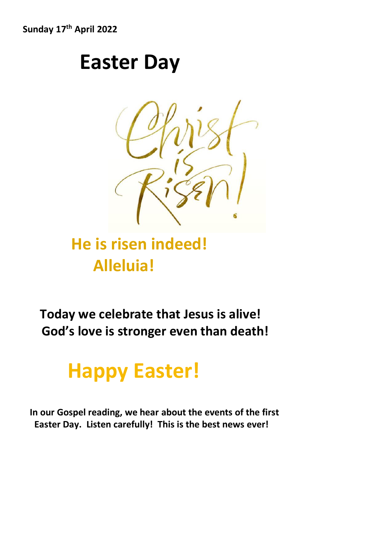**Sunday 17th April 2022**

## **Easter Day**



### **He is risen indeed! Alleluia!**

 **Today we celebrate that Jesus is alive! God's love is stronger even than death!** 

# **Happy Easter!**

 **In our Gospel reading, we hear about the events of the first Easter Day. Listen carefully! This is the best news ever!**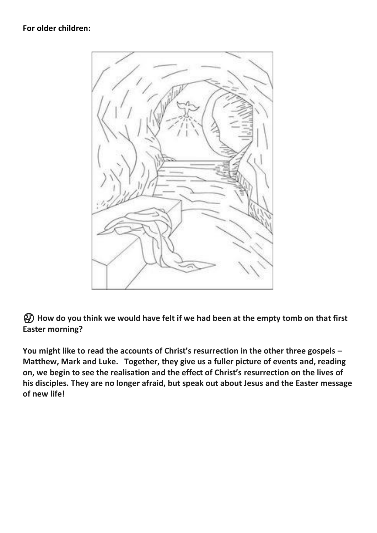

 **How do you think we would have felt if we had been at the empty tomb on that first Easter morning?**

**You might like to read the accounts of Christ's resurrection in the other three gospels – Matthew, Mark and Luke. Together, they give us a fuller picture of events and, reading on, we begin to see the realisation and the effect of Christ's resurrection on the lives of his disciples. They are no longer afraid, but speak out about Jesus and the Easter message of new life!**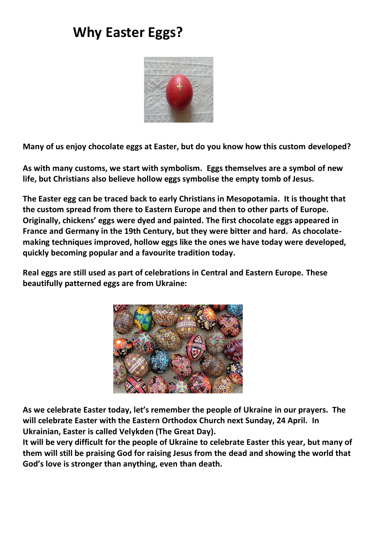### **Why Easter Eggs?**



**Many of us enjoy chocolate eggs at Easter, but do you know how this custom developed?**

**As with many customs, we start with symbolism. Eggs themselves are a symbol of new life, but Christians also believe hollow eggs symbolise the empty tomb of Jesus.** 

**The Easter egg can be traced back to early Christians in Mesopotamia. It is thought that the custom spread from there to Eastern Europe and then to other parts of Europe. Originally, chickens' eggs were dyed and painted. The first chocolate eggs appeared in France and Germany in the 19th Century, but they were bitter and hard. As chocolatemaking techniques improved, hollow eggs like the ones we have today were developed, quickly becoming popular and a favourite tradition today.** 

**Real eggs are still used as part of celebrations in Central and Eastern Europe. These beautifully patterned eggs are from Ukraine:**



**As we celebrate Easter today, let's remember the people of Ukraine in our prayers. The will celebrate Easter with the Eastern Orthodox Church next Sunday, 24 April. In Ukrainian, Easter is called Velykden (The Great Day).**

**It will be very difficult for the people of Ukraine to celebrate Easter this year, but many of them will still be praising God for raising Jesus from the dead and showing the world that God's love is stronger than anything, even than death.**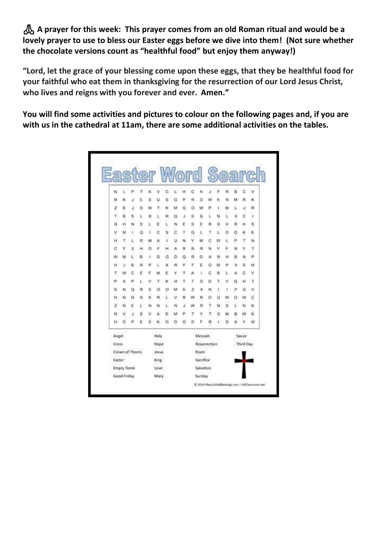**A prayer for this week: This prayer comes from an old Roman ritual and would be a lovely prayer to use to bless our Easter eggs before we dive into them! (Not sure whether the chocolate versions count as "healthful food" but enjoy them anyway!)** 

**"Lord, let the grace of your blessing come upon these eggs, that they be healthful food for your faithful who eat them in thanksgiving for the resurrection of our Lord Jesus Christ, who lives and reigns with you forever and ever. Amen."** 

**You will find some activities and pictures to colour on the following pages and, if you are with us in the cathedral at 11am, there are some additional activities on the tables.**

|                 |   |   |   | Easter Word Searc |       |   |   |   |              |         |   |         |    |           |   |   |  |
|-----------------|---|---|---|-------------------|-------|---|---|---|--------------|---------|---|---------|----|-----------|---|---|--|
| N               | Ľ | P |   | κ                 | ٧     | C |   | н | С            | κ       | J | F       | R  | ₿         | C | ٧ |  |
| м               | κ | J | Ε | s                 | u     | s | G | P | R            | D       | w | κ       | N  | м         | R | κ |  |
| z               | E | J | D | w                 | τ     | κ | м | G | o            | w       | ₽ | ı       | м  | ι         | J | R |  |
| т               | 8 | s | L | R                 | ι     | R | Q | J | s            | в       | ι | N       | Ł  | ×         | с | 1 |  |
| G               | н | N | s | ι                 | Ε     | ι | N | Ε | s            | Ε       | R | G       | v  | R         | н | s |  |
| ٧               | м | t | ٥ | ×                 | Č     | s | c | τ | G            | L       | τ | ï.      | Ö  | O         | κ | Ë |  |
| н               | T | L | R | м                 | А     | ı | υ | N | Υ            | м       | Ċ | w       | ı. | p         | Τ | N |  |
| ċ               | γ | х | н | D                 | Ë     | н | Ä | R | R            | R       | N | ٧       | F  | N         | Y | Τ |  |
| w               | м | ι | в | ı                 | D     | G | D | Q | R            | o       | Α | N       | н  | 8         | N | P |  |
| н               | J | B | R | Þ                 | ι     | Ä | R | Υ | p            | Ë       | Ō | M       | p  | x         | ŝ | м |  |
| т               | w | с | E | F                 | м     | E | Y | τ | A            | 1       | C | ₿       | ι  | А         | с | Y |  |
| P               | А | P | Ł | ٧                 | τ     | κ | н | τ | т            | Ð       | G | Τ       | v  | Q         | н | τ |  |
| s               | N | Q | R | s                 | o     | o | м | А | z            | x       | м | 1       | 1  | P         | G | ٧ |  |
| н               | N | N | A | к                 | R     | Ł | ٧ | R | Ŵ            | R       | O | υ       | w  | Ö         | w | c |  |
| z               | N | Ε | ι | Ν                 | ы     | Ł | N | J | w            | R       | т | N       | S. | ι         | N | κ |  |
| N               | ٧ | J | s | ٧                 | А     | Ë | м | P | Τ            | Υ       | τ | $\circ$ | м  | в         | w | κ |  |
| н               | ö | p | Ë | š                 | κ     | G | O | ٥ | D            | F       | R | ı       | Ď  | ٨         | γ | w |  |
| Angel           |   |   |   |                   | Holy  |   |   |   |              | Messiah |   |         |    | Savior    |   |   |  |
| Cross           |   |   |   |                   | Hope  |   |   |   | Resurrection |         |   |         |    | Third Day |   |   |  |
| Crown of Thorns |   |   |   |                   | Jesus |   |   |   | Risen        |         |   |         |    |           |   |   |  |
| Easter :        |   |   |   |                   | King  |   |   |   | Sacrifice    |         |   |         |    |           |   |   |  |
| Empty Tomb      |   |   |   |                   | Love  |   |   |   | Salvation    |         |   |         |    |           |   |   |  |
| Good Friday     |   |   |   |                   | Mary  |   |   |   | Sunday       |         |   |         |    |           |   |   |  |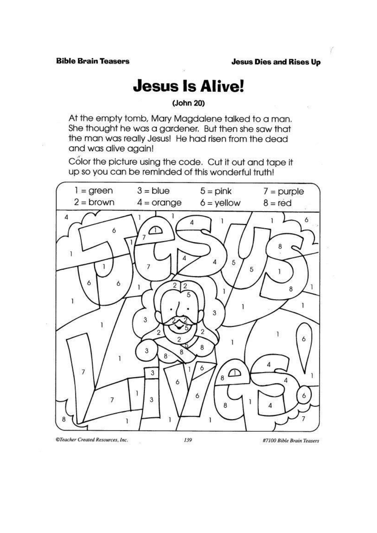ř

#### **Jesus Is Alive!**

 $(John 20)$ 

At the empty tomb, Mary Magdalene talked to a man. She thought he was a gardener. But then she saw that the man was really Jesus! He had risen from the dead and was alive again!

Color the picture using the code. Cut it out and tape it up so you can be reminded of this wonderful truth!



@Teacher Created Resources, Inc.

#7100 Bible Brain Teasers